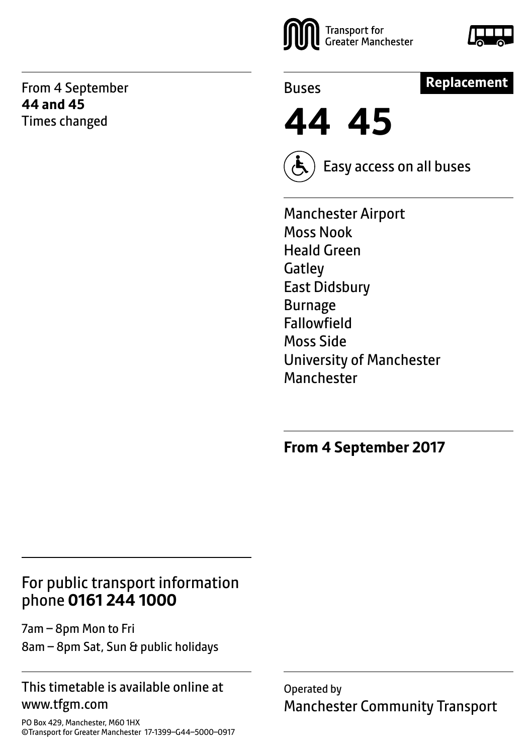From 4 September **44 and 45** Times changed





Buses

#### **Replacement**

**44 45**



Easy access on all buses

Manchester Airport Moss Nook Heald Green **Gatley** East Didsbury Burnage Fallowfield Moss Side University of Manchester Manchester

#### **From 4 September 2017**

#### For public transport information phone **0161 244 1000**

7am – 8pm Mon to Fri 8am – 8pm Sat, Sun & public holidays

#### This timetable is available online at www.tfgm.com

PO Box 429, Manchester, M60 1HX ©Transport for Greater Manchester 17-1399–G44–5000–0917 Operated by Manchester Community Transport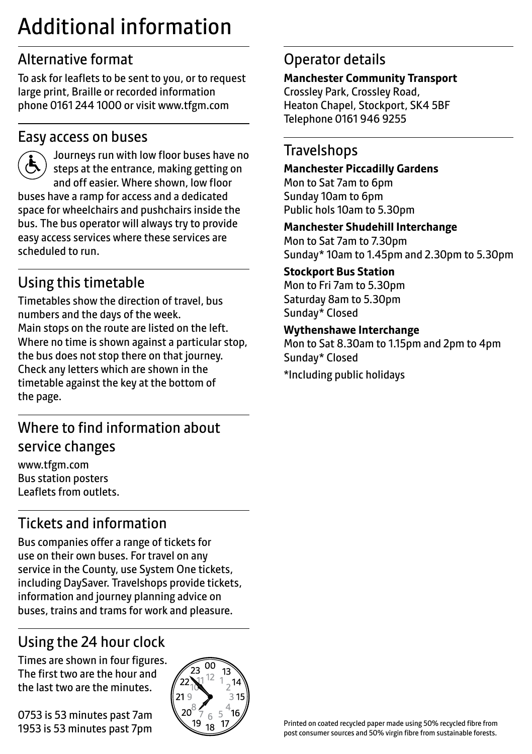# Additional information

### Alternative format

To ask for leaflets to be sent to you, or to request large print, Braille or recorded information phone 0161 244 1000 or visit www.tfgm.com

#### Easy access on buses



 Journeys run with low floor buses have no steps at the entrance, making getting on and off easier. Where shown, low floor buses have a ramp for access and a dedicated space for wheelchairs and pushchairs inside the bus. The bus operator will always try to provide easy access services where these services are scheduled to run.

# Using this timetable

Timetables show the direction of travel, bus numbers and the days of the week. Main stops on the route are listed on the left. Where no time is shown against a particular stop, the bus does not stop there on that journey. Check any letters which are shown in the timetable against the key at the bottom of the page.

### Where to find information about service changes

www.tfgm.com Bus station posters Leaflets from outlets.

# Tickets and information

Bus companies offer a range of tickets for use on their own buses. For travel on any service in the County, use System One tickets, including DaySaver. Travelshops provide tickets, information and journey planning advice on buses, trains and trams for work and pleasure.

# Using the 24 hour clock

Times are shown in four figures. The first two are the hour and the last two are the minutes.

0753 is 53 minutes past 7am 1953 is 53 minutes past 7pm



#### Operator details

#### **Manchester Community Transport**

Crossley Park, Crossley Road, Heaton Chapel, Stockport, SK4 5BF Telephone 0161 946 9255

#### **Travelshops**

#### **Manchester Piccadilly Gardens**  Mon to Sat 7am to 6pm

Sunday 10am to 6pm Public hols 10am to 5.30pm

#### **Manchester Shudehill Interchange**

Mon to Sat 7am to 7.30pm Sunday\* 10am to 1.45pm and 2.30pm to 5.30pm

#### **Stockport Bus Station**

Mon to Fri 7am to 5.30pm Saturday 8am to 5.30pm Sunday\* Closed

#### **Wythenshawe Interchange**

Mon to Sat 8.30am to 1.15pm and 2pm to 4pm Sunday\* Closed

\*Including public holidays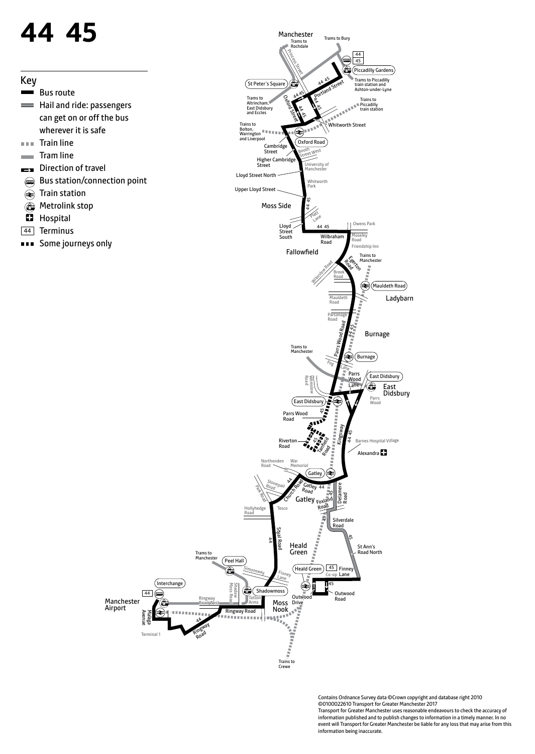# **44 45**

- Key  $\frac{1}{2}$ Bus route **Hail and ride: passengers** can get on or off the bus wherever it is safe  $\sim 0.01$ Train line Tram line **College** Direction of travel  $\overline{\phantom{a}}$ **Bus station/connection point**  $\bigcirc$ Train station **Metrolink stop**  $\blacksquare$ Hospital
- 44 Terminus
- **EXEC** Some journeys only



Trains to Crewe

> Contains Ordnance Survey data ©Crown copyright and database right 2010 ©0100022610 Transport for Greater Manchester 2017 Transport for Greater Manchester uses reasonable endeavours to check the accuracy of information published and to publish changes to information in a timely manner. In no event will Transport for Greater Manchester be liable for any loss that may arise from this information being inaccurate.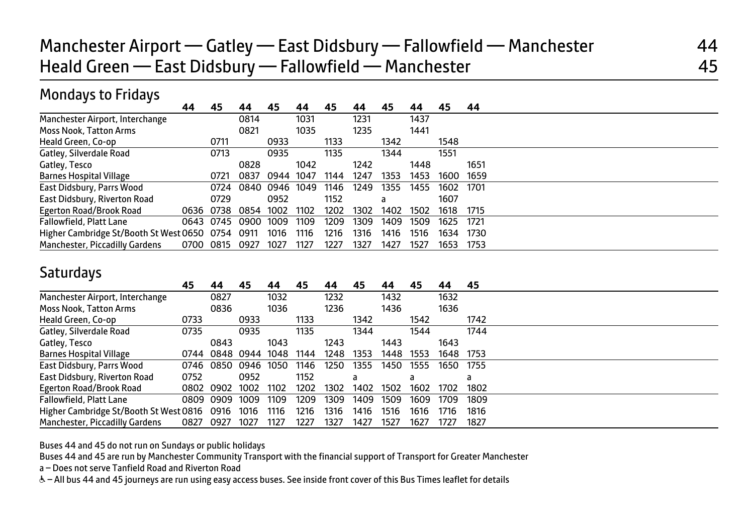# Manchester Airport — Gatley — East Didsbury — Fallowfield — Manchester 44 Heald Green — East Didsbury — Fallowfield — Manchester 45

#### Mondays to Fridays

|                                                  | 44 | 45        |                | 45   | 44   | 45   | 44   | 45   | 44   | 45   | 44   |  |
|--------------------------------------------------|----|-----------|----------------|------|------|------|------|------|------|------|------|--|
| Manchester Airport, Interchange                  |    |           | 0814           |      | 1031 |      | 1231 |      | 1437 |      |      |  |
| <b>Moss Nook, Tatton Arms</b>                    |    |           | 0821           |      | 1035 |      | 1235 |      | 1441 |      |      |  |
| Heald Green, Co-op                               |    | 0711      |                | 0933 |      | 1133 |      | 1342 |      | 1548 |      |  |
| Gatley, Silverdale Road                          |    | 0713      |                | 0935 |      | 1135 |      | 1344 |      | 1551 |      |  |
| Gatley, Tesco                                    |    |           | 0828           |      | 1042 |      | 1242 |      | 1448 |      | 1651 |  |
| <b>Barnes Hospital Village</b>                   |    | 0721      | 0837           | 0944 | 1047 | 1144 | 1247 | 1353 | 1453 | 1600 | 1659 |  |
| East Didsbury, Parrs Wood                        |    | 0724      | 0840           | 0946 | 1049 | 1146 | 1249 | 1355 | 1455 | 1602 | 1701 |  |
| East Didsbury, Riverton Road                     |    | 0729      |                | 0952 |      | 1152 |      | a    |      | 1607 |      |  |
| Egerton Road/Brook Road                          |    | 0636 0738 | 0854           | 1002 | 1102 | 1202 | 1302 | 1402 | 1502 | 1618 | 1715 |  |
| Fallowfield, Platt Lane                          |    |           | 0643 0745 0900 | 1009 | 1109 | 1209 | 1309 | 1409 | 1509 | 1625 | 1721 |  |
| Higher Cambridge St/Booth St West 0650 0754 0911 |    |           |                | 1016 | 1116 | 1216 | 1316 | 1416 | 1516 | 1634 | 1730 |  |
| Manchester, Piccadilly Gardens                   |    | 0700 0815 | 0927           | 1027 | 1127 | 1227 | 1327 | 1427 | 1527 | 1653 | 1753 |  |

#### **Saturdays**

|                                        | 45   | 44        | 45        | 44   | 45   | 44   |      | 44   | 45   | 44   | 45   |
|----------------------------------------|------|-----------|-----------|------|------|------|------|------|------|------|------|
| Manchester Airport, Interchange        |      | 0827      |           | 1032 |      | 1232 |      | 1432 |      | 1632 |      |
| Moss Nook, Tatton Arms                 |      | 0836      |           | 1036 |      | 1236 |      | 1436 |      | 1636 |      |
| Heald Green, Co-op                     | 0733 |           | 0933      |      | 1133 |      | 1342 |      | 1542 |      | 1742 |
| Gatley, Silverdale Road                | 0735 |           | 0935      |      | 1135 |      | 1344 |      | 1544 |      | 1744 |
| Gatley, Tesco                          |      | 0843      |           | 1043 |      | 1243 |      | 1443 |      | 1643 |      |
| <b>Barnes Hospital Village</b>         | 0744 |           | 0848 0944 | 1048 | 1144 | 1248 | 1353 | 1448 | 1553 | 1648 | 1753 |
| East Didsbury, Parrs Wood              | 0746 | 0850      | 0946      | 1050 | 1146 | 1250 | 1355 | 1450 | 1555 | 1650 | 1755 |
| East Didsbury, Riverton Road           | 0752 |           | 0952      |      | 1152 |      | a    |      | a    |      | a    |
| Egerton Road/Brook Road                |      | 0802 0902 | 1002      | 1102 | 1202 | 1302 | 1402 | 1502 | 1602 | 1702 | 1802 |
| Fallowfield, Platt Lane                |      | 0809 0909 | 1009      | 1109 | 1209 | 1309 | 1409 | 1509 | 1609 | 1709 | 1809 |
| Higher Cambridge St/Booth St West 0816 |      | 0916      | 1016      | 1116 | 1216 | 1316 | 1416 | 1516 | 1616 | 1716 | 1816 |
| Manchester, Piccadilly Gardens         | 0827 | 0927      | 1027      | 1127 | 1227 | 1327 | 1427 | 1527 | 1627 | 1727 | 1827 |
|                                        |      |           |           |      |      |      |      |      |      |      |      |

Buses 44 and 45 do not run on Sundays or public holidays

Buses 44 and 45 are run by Manchester Community Transport with the financial support of Transport for Greater Manchester

a – Does not serve Tanfield Road and Riverton Road

W– All bus 44 and 45 journeys are run using easy access buses. See inside front cover of this Bus Times leaflet for details